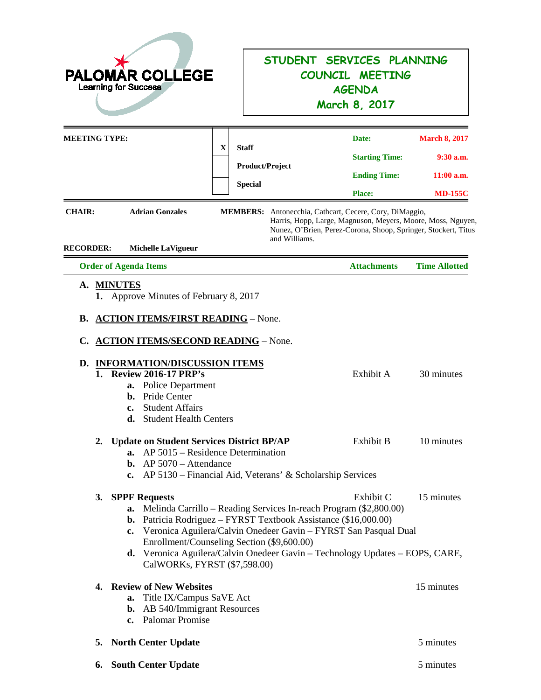| <b>AR COLLEGE</b><br><b>PALOM</b><br><b>Learning for Success</b>                                                                                                                                                                                                                                                                                                                                                                     |                                                                                                                                      | STUDENT SERVICES PLANNING<br>COUNCIL MEETING<br><b>AGENDA</b><br>March 8, 2017                                                                                                                          |                                                                       |  |
|--------------------------------------------------------------------------------------------------------------------------------------------------------------------------------------------------------------------------------------------------------------------------------------------------------------------------------------------------------------------------------------------------------------------------------------|--------------------------------------------------------------------------------------------------------------------------------------|---------------------------------------------------------------------------------------------------------------------------------------------------------------------------------------------------------|-----------------------------------------------------------------------|--|
| <b>MEETING TYPE:</b><br>$\mathbf X$<br><b>CHAIR:</b><br><b>Adrian Gonzales</b><br><b>RECORDER:</b><br><b>Michelle LaVigueur</b>                                                                                                                                                                                                                                                                                                      | <b>Staff</b><br><b>Product/Project</b><br><b>Special</b><br>MEMBERS: Antonecchia, Cathcart, Cecere, Cory, DiMaggio,<br>and Williams. | Date:<br><b>Starting Time:</b><br><b>Ending Time:</b><br><b>Place:</b><br>Harris, Hopp, Large, Magnuson, Meyers, Moore, Moss, Nguyen,<br>Nunez, O'Brien, Perez-Corona, Shoop, Springer, Stockert, Titus | <b>March 8, 2017</b><br>$9:30$ a.m.<br>$11:00$ a.m.<br><b>MD-155C</b> |  |
| <b>Order of Agenda Items</b>                                                                                                                                                                                                                                                                                                                                                                                                         |                                                                                                                                      | <b>Attachments</b>                                                                                                                                                                                      | <b>Time Allotted</b>                                                  |  |
| <b>ACTION ITEMS/FIRST READING - None.</b><br>В.<br><b>ACTION ITEMS/SECOND READING - None.</b><br>C.<br>D. INFORMATION/DISCUSSION ITEMS<br><b>Review 2016-17 PRP's</b><br>1.<br><b>Police Department</b><br>a.<br>Pride Center<br>b.<br><b>Student Affairs</b><br>c.<br>d.<br><b>Student Health Centers</b>                                                                                                                           |                                                                                                                                      | Exhibit A                                                                                                                                                                                               | 30 minutes                                                            |  |
| 2. Update on Student Services District BP/AP<br>AP 5015 – Residence Determination<br>a.<br><b>b.</b> AP $5070 -$ Attendance<br>c. AP 5130 – Financial Aid, Veterans' & Scholarship Services                                                                                                                                                                                                                                          |                                                                                                                                      | Exhibit B                                                                                                                                                                                               | 10 minutes                                                            |  |
| <b>SPPF Requests</b><br>3.<br>Melinda Carrillo - Reading Services In-reach Program (\$2,800.00)<br>a.<br>Patricia Rodriguez – FYRST Textbook Assistance (\$16,000.00)<br>b.<br>Veronica Aguilera/Calvin Onedeer Gavin - FYRST San Pasqual Dual<br>$c_{\bullet}$<br>Enrollment/Counseling Section (\$9,600.00)<br><b>d.</b> Veronica Aguilera/Calvin Onedeer Gavin – Technology Updates – EOPS, CARE,<br>CalWORKs, FYRST (\$7,598.00) |                                                                                                                                      | Exhibit C                                                                                                                                                                                               | 15 minutes                                                            |  |
| <b>Review of New Websites</b><br>4.<br>Title IX/Campus SaVE Act<br>a.<br><b>b.</b> AB 540/Immigrant Resources<br>c. Palomar Promise                                                                                                                                                                                                                                                                                                  |                                                                                                                                      |                                                                                                                                                                                                         | 15 minutes                                                            |  |
| <b>North Center Update</b><br>5.                                                                                                                                                                                                                                                                                                                                                                                                     |                                                                                                                                      |                                                                                                                                                                                                         | 5 minutes                                                             |  |

**6. South Center Update** 5 minutes